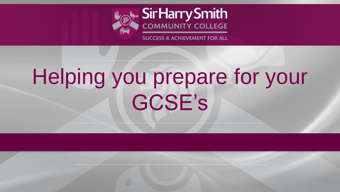

**SUCCESS & ACHIEVEMENT FOR ALL** 

# Helping you prepare for your GCSE's

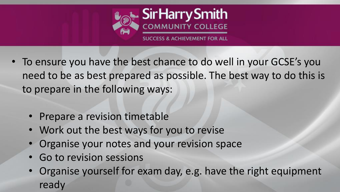

- To ensure you have the best chance to do well in your GCSE's you need to be as best prepared as possible. The best way to do this is to prepare in the following ways:
	- Prepare a revision timetable
	- Work out the best ways for you to revise
	- Organise your notes and your revision space
	- Go to revision sessions
	- Organise yourself for exam day, e.g. have the right equipment ready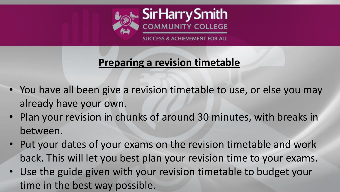

## **Preparing a revision timetable**

- You have all been give a revision timetable to use, or else you may already have your own.
- Plan your revision in chunks of around 30 minutes, with breaks in between.
- Put your dates of your exams on the revision timetable and work back. This will let you best plan your revision time to your exams.
- Use the guide given with your revision timetable to budget your time in the best way possible.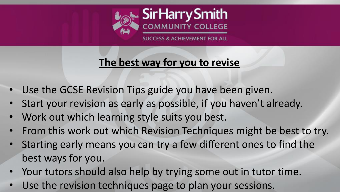

### **The best way for you to revise**

- Use the GCSE Revision Tips guide you have been given.
- Start your revision as early as possible, if you haven't already.
- Work out which learning style suits you best.
- From this work out which Revision Techniques might be best to try.
- Starting early means you can try a few different ones to find the best ways for you.
- Your tutors should also help by trying some out in tutor time.
- Use the revision techniques page to plan your sessions.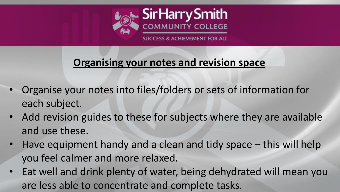

#### **Organising your notes and revision space**

- Organise your notes into files/folders or sets of information for each subject.
- Add revision guides to these for subjects where they are available and use these.
- Have equipment handy and a clean and tidy space this will help you feel calmer and more relaxed.
- Eat well and drink plenty of water, being dehydrated will mean you are less able to concentrate and complete tasks.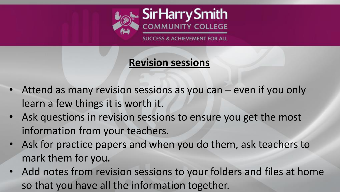

**CESS & ACHIEVEMENT FOR ALL** 

#### **Revision sessions**

- Attend as many revision sessions as you can even if you only learn a few things it is worth it.
- Ask questions in revision sessions to ensure you get the most information from your teachers.
- Ask for practice papers and when you do them, ask teachers to mark them for you.
- Add notes from revision sessions to your folders and files at home so that you have all the information together.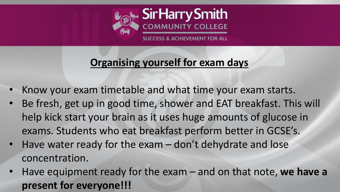

### **Organising yourself for exam days**

- Know your exam timetable and what time your exam starts.
- Be fresh, get up in good time, shower and EAT breakfast. This will help kick start your brain as it uses huge amounts of glucose in exams. Students who eat breakfast perform better in GCSE's.
- Have water ready for the exam don't dehydrate and lose concentration.
- Have equipment ready for the exam and on that note, **we have a present for everyone!!!**